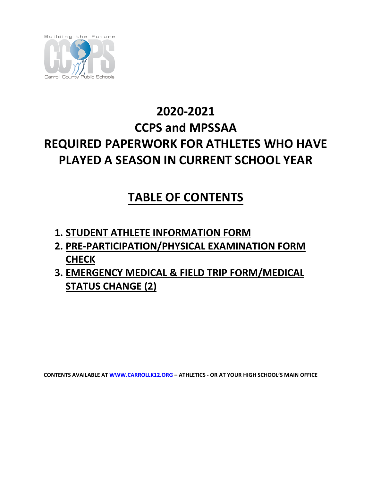

# **2020-2021 CCPS and MPSSAA REQUIRED PAPERWORK FOR ATHLETES WHO HAVE PLAYED A SEASON IN CURRENT SCHOOL YEAR**

# **TABLE OF CONTENTS**

- **1. STUDENT ATHLETE INFORMATION FORM**
- **2. PRE-PARTICIPATION/PHYSICAL EXAMINATION FORM CHECK**
- **3. EMERGENCY MEDICAL & FIELD TRIP FORM/MEDICAL STATUS CHANGE (2)**

**CONTENTS AVAILABLE AT [WWW.CARROLLK12.ORG](http://www.carrollk12.org/) – ATHLETICS - OR AT YOUR HIGH SCHOOL'S MAIN OFFICE**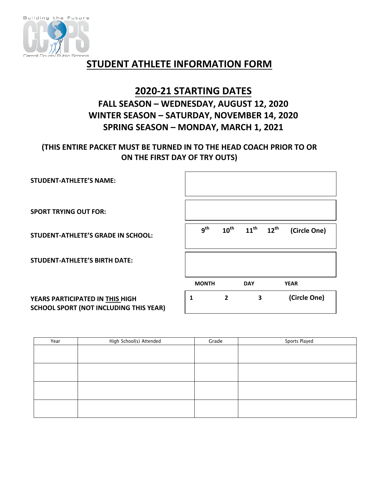

### **STUDENT ATHLETE INFORMATION FORM**

### **2020-21 STARTING DATES FALL SEASON – WEDNESDAY, AUGUST 12, 2020 WINTER SEASON – SATURDAY, NOVEMBER 14, 2020 SPRING SEASON – MONDAY, MARCH 1, 2021**

#### **(THIS ENTIRE PACKET MUST BE TURNED IN TO THE HEAD COACH PRIOR TO OR ON THE FIRST DAY OF TRY OUTS)**

| <b>STUDENT-ATHLETE'S NAME:</b>            |                 |                  |                                   |              |
|-------------------------------------------|-----------------|------------------|-----------------------------------|--------------|
| <b>SPORT TRYING OUT FOR:</b>              |                 |                  |                                   |              |
| <b>STUDENT-ATHLETE'S GRADE IN SCHOOL:</b> | 9 <sup>th</sup> | $10^{\text{th}}$ | $11^{\text{th}}$ $12^{\text{th}}$ | (Circle One) |
| <b>STUDENT-ATHLETE'S BIRTH DATE:</b>      |                 |                  |                                   |              |
|                                           | <b>MONTH</b>    |                  | <b>DAY</b>                        | <b>YEAR</b>  |
| YEARS PARTICIPATED IN THIS HIGH           |                 | 2                | 3                                 | (Circle One) |

**YEARS PARTICIPATED IN THIS HIGH SCHOOL SPORT (NOT INCLUDING THIS YEAR)** 

| Year | High School(s) Attended | Grade | Sports Played |
|------|-------------------------|-------|---------------|
|      |                         |       |               |
|      |                         |       |               |
|      |                         |       |               |
|      |                         |       |               |
|      |                         |       |               |
|      |                         |       |               |
|      |                         |       |               |
|      |                         |       |               |
|      |                         |       |               |
|      |                         |       |               |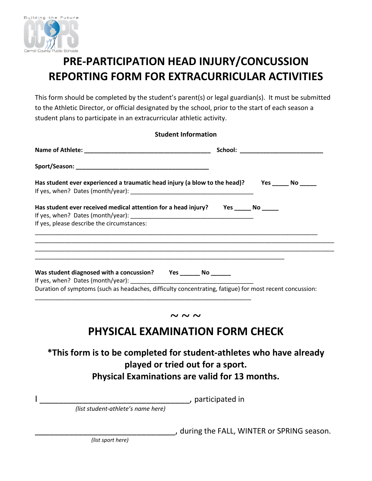

# **PRE-PARTICIPATION HEAD INJURY/CONCUSSION REPORTING FORM FOR EXTRACURRICULAR ACTIVITIES**

This form should be completed by the student's parent(s) or legal guardian(s). It must be submitted to the Athletic Director, or official designated by the school, prior to the start of each season a student plans to participate in an extracurricular athletic activity.

| <b>Student Information</b>                                                                                                                                          |                                      |  |  |  |
|---------------------------------------------------------------------------------------------------------------------------------------------------------------------|--------------------------------------|--|--|--|
|                                                                                                                                                                     | School: ____________________________ |  |  |  |
|                                                                                                                                                                     |                                      |  |  |  |
| Has student ever experienced a traumatic head injury (a blow to the head)? Yes ______ No _____                                                                      |                                      |  |  |  |
| Has student ever received medical attention for a head injury? Yes _____ No _____                                                                                   |                                      |  |  |  |
| If yes, please describe the circumstances:<br><u> 1980 - Johann Stoff, deutscher Stoff, der Stoff, der Stoff, der Stoff, der Stoff, der Stoff, der Stoff, der S</u> |                                      |  |  |  |
|                                                                                                                                                                     |                                      |  |  |  |
| Was student diagnosed with a concussion? Yes _______ No ______                                                                                                      |                                      |  |  |  |
| Duration of symptoms (such as headaches, difficulty concentrating, fatigue) for most recent concussion:                                                             |                                      |  |  |  |

### **PHYSICAL EXAMINATION FORM CHECK**

**~ ~ ~**

### **\*This form is to be completed for student-athletes who have already played or tried out for a sport. Physical Examinations are valid for 13 months.**

I \_\_\_\_\_\_\_\_\_\_\_\_\_\_\_\_\_\_\_\_\_\_\_\_\_\_\_\_\_\_\_, participated in  *(list student-athlete's name here)*

\_\_\_\_\_\_\_\_\_\_\_\_\_\_\_\_\_\_\_\_\_\_\_\_\_\_\_\_\_, during the FALL, WINTER or SPRING season.

*(list sport here)*